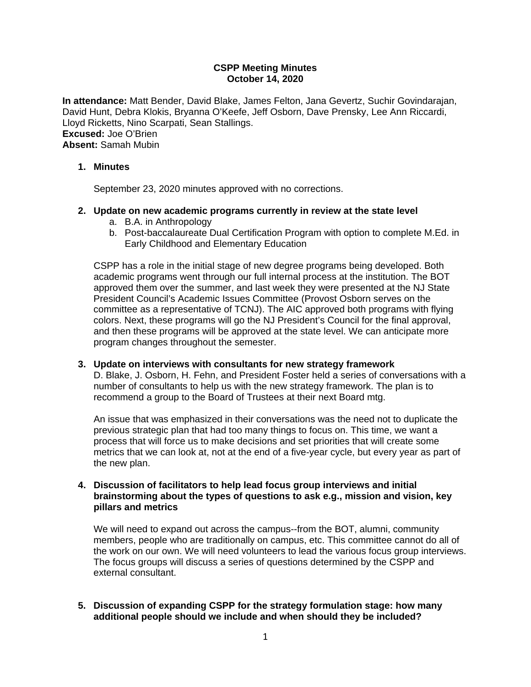# **CSPP Meeting Minutes October 14, 2020**

**In attendance:** Matt Bender, David Blake, James Felton, Jana Gevertz, Suchir Govindarajan, David Hunt, Debra Klokis, Bryanna O'Keefe, Jeff Osborn, Dave Prensky, Lee Ann Riccardi, Lloyd Ricketts, Nino Scarpati, Sean Stallings. **Excused:** Joe O'Brien **Absent:** Samah Mubin

# **1. Minutes**

September 23, 2020 minutes approved with no corrections.

# **2. Update on new academic programs currently in review at the state level**

- a. B.A. in Anthropology
- b. Post-baccalaureate Dual Certification Program with option to complete M.Ed. in Early Childhood and Elementary Education

CSPP has a role in the initial stage of new degree programs being developed. Both academic programs went through our full internal process at the institution. The BOT approved them over the summer, and last week they were presented at the NJ State President Council's Academic Issues Committee (Provost Osborn serves on the committee as a representative of TCNJ). The AIC approved both programs with flying colors. Next, these programs will go the NJ President's Council for the final approval, and then these programs will be approved at the state level. We can anticipate more program changes throughout the semester.

#### **3. Update on interviews with consultants for new strategy framework**

D. Blake, J. Osborn, H. Fehn, and President Foster held a series of conversations with a number of consultants to help us with the new strategy framework. The plan is to recommend a group to the Board of Trustees at their next Board mtg.

An issue that was emphasized in their conversations was the need not to duplicate the previous strategic plan that had too many things to focus on. This time, we want a process that will force us to make decisions and set priorities that will create some metrics that we can look at, not at the end of a five-year cycle, but every year as part of the new plan.

### **4. Discussion of facilitators to help lead focus group interviews and initial brainstorming about the types of questions to ask e.g., mission and vision, key pillars and metrics**

We will need to expand out across the campus--from the BOT, alumni, community members, people who are traditionally on campus, etc. This committee cannot do all of the work on our own. We will need volunteers to lead the various focus group interviews. The focus groups will discuss a series of questions determined by the CSPP and external consultant.

## **5. Discussion of expanding CSPP for the strategy formulation stage: how many additional people should we include and when should they be included?**